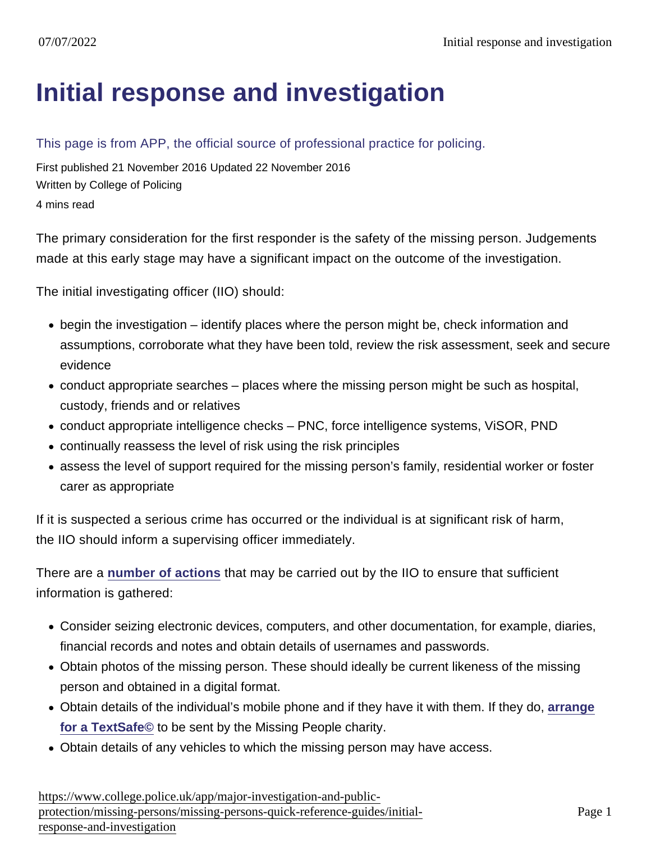## [Initial response and investigation](https://www.college.police.uk/app/major-investigation-and-public-protection/missing-persons/missing-persons-quick-reference-guides/initial-response-and-investigation)

## This page is from APP, the official source of professional practice for policing.

First published 21 November 2016 Updated 22 November 2016 Written by College of Policing 4 mins read

The primary consideration for the first responder is the safety of the missing person. Judgements made at this early stage may have a significant impact on the outcome of the investigation.

The initial investigating officer (IIO) should:

- begin the investigation identify places where the person might be, check information and assumptions, corroborate what they have been told, review the risk assessment, seek and secure evidence
- conduct appropriate searches places where the missing person might be such as hospital, custody, friends and or relatives
- conduct appropriate intelligence checks PNC, force intelligence systems, ViSOR, PND
- continually reassess the level of risk using the risk principles
- assess the level of support required for the missing person's family, residential worker or foster carer as appropriate

If it is suspected a serious crime has occurred or the individual is at significant risk of harm, the IIO should inform a supervising officer immediately.

There are a [number of actions](https://www.app.college.police.uk/consultation/missing-persons-consultation/investigation-consultation/#responsibilities) that may be carried out by the IIO to ensure that sufficient information is gathered:

- Consider seizing electronic devices, computers, and other documentation, for example, diaries, financial records and notes and obtain details of usernames and passwords.
- Obtain photos of the missing person. These should ideally be current likeness of the missing person and obtained in a digital format.
- Obtain details of the individual's mobile phone and if they have it with them. If they do, [arrange](https://www.missingpeople.org.uk/police-services/request-a-textsafe) [for a TextSafe©](https://www.missingpeople.org.uk/police-services/request-a-textsafe) to be sent by the Missing People charity.
- Obtain details of any vehicles to which the missing person may have access.